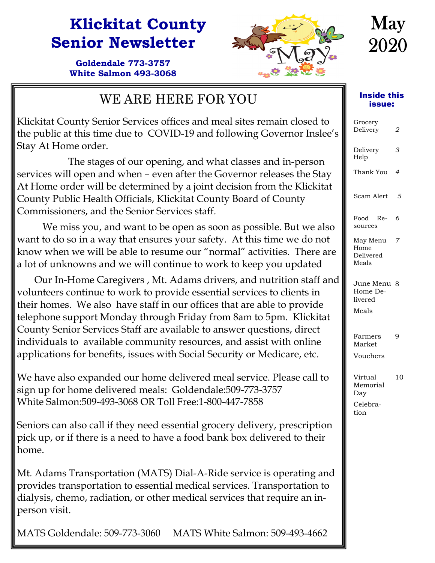### **Klickitat County Senior Newsletter**

**Goldendale 773-3757 White Salmon 493-3068** 



## **May** 2020

#### WE ARE HERE FOR YOU

Klickitat County Senior Services offices and meal sites remain closed to the public at this time due to COVID-19 and following Governor Inslee's Stay At Home order.

 The stages of our opening, and what classes and in-person services will open and when – even after the Governor releases the Stay At Home order will be determined by a joint decision from the Klickitat County Public Health Officials, Klickitat County Board of County Commissioners, and the Senior Services staff.

 We miss you, and want to be open as soon as possible. But we also want to do so in a way that ensures your safety. At this time we do not know when we will be able to resume our "normal" activities. There are a lot of unknowns and we will continue to work to keep you updated

 Our In-Home Caregivers , Mt. Adams drivers, and nutrition staff and volunteers continue to work to provide essential services to clients in their homes. We also have staff in our offices that are able to provide telephone support Monday through Friday from 8am to 5pm. Klickitat County Senior Services Staff are available to answer questions, direct individuals to available community resources, and assist with online applications for benefits, issues with Social Security or Medicare, etc.

We have also expanded our home delivered meal service. Please call to sign up for home delivered meals: Goldendale:509-773-3757 White Salmon:509-493-3068 OR Toll Free:1-800-447-7858

Seniors can also call if they need essential grocery delivery, prescription pick up, or if there is a need to have a food bank box delivered to their home.

Mt. Adams Transportation (MATS) Dial-A-Ride service is operating and provides transportation to essential medical services. Transportation to dialysis, chemo, radiation, or other medical services that require an inperson visit.

MATS Goldendale: 509-773-3060 MATS White Salmon: 509-493-4662

#### Inside this issue:

| Grocery<br>Delivery                            | 2              |
|------------------------------------------------|----------------|
| Delivery<br>Help                               | З              |
| Thank You                                      | $\overline{a}$ |
| Scam Alert                                     | 5              |
| Food<br>Re-<br>sources                         | 6              |
| May Menu<br>Home<br>Delivered<br>Meals         | 7              |
| June Menu 8<br>Home De-<br>livered<br>Meals    |                |
| Farmers<br>Market<br>Vouchers                  | 9              |
| Virtual<br>Memorial<br>Day<br>Celebra-<br>tion | 10             |
|                                                |                |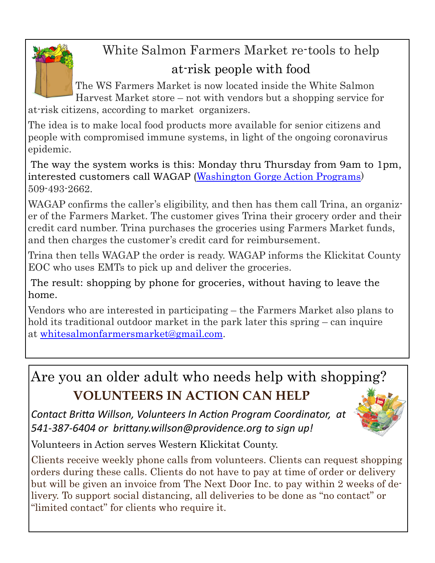

# White Salmon Farmers Market re-tools to help

### at-risk people with food

The WS Farmers Market is now located inside the White Salmon Harvest Market store – not with vendors but a shopping service for

at-risk citizens, according to market organizers.

The idea is to make local food products more available for senior citizens and people with compromised immune systems, in light of the ongoing coronavirus epidemic.

The way the system works is this: Monday thru Thursday from 9am to 1pm, interested customers call WAGAP (Washington Gorge Action Programs) 509-493-2662.

WAGAP confirms the caller's eligibility, and then has them call Trina, an organizer of the Farmers Market. The customer gives Trina their grocery order and their credit card number. Trina purchases the groceries using Farmers Market funds, and then charges the customer's credit card for reimbursement.

Trina then tells WAGAP the order is ready. WAGAP informs the Klickitat County EOC who uses EMTs to pick up and deliver the groceries.

The result: shopping by phone for groceries, without having to leave the home.

Vendors who are interested in participating – the Farmers Market also plans to hold its traditional outdoor market in the park later this spring – can inquire at whitesalmonfarmersmarket@gmail.com.

Are you an older adult who needs help with shopping? **VOLUNTEERS IN ACTION CAN HELP** 

*Contact BriƩa Willson, Volunteers In AcƟon Program Coordinator, at 541‐387‐6404 or briƩany.willson@providence.org to sign up!*



Volunteers in Action serves Western Klickitat County.

Clients receive weekly phone calls from volunteers. Clients can request shopping orders during these calls. Clients do not have to pay at time of order or delivery but will be given an invoice from The Next Door Inc. to pay within 2 weeks of delivery. To support social distancing, all deliveries to be done as "no contact" or "limited contact" for clients who require it.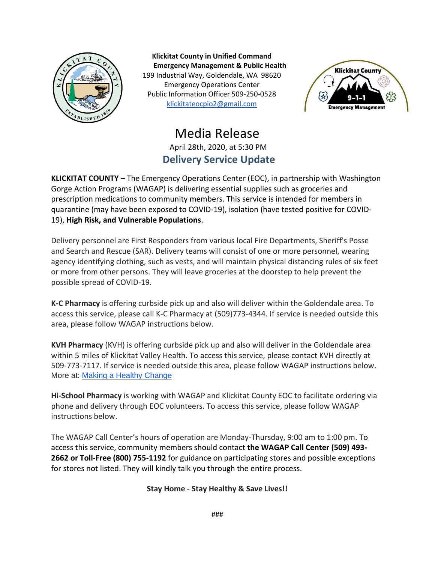

**Klickitat County in Unified Command Emergency Management & Public Health** 199 Industrial Way, Goldendale, WA 98620 Emergency Operations Center Public Information Officer 509-250-0528 [klickitateocpio2@gmail.com](mailto:klickitateocpio@gmail.com)



#### Media Release April 28th, 2020, at 5:30 PM **Delivery Service Update**

**KLICKITAT COUNTY** – The Emergency Operations Center (EOC), in partnership with Washington Gorge Action Programs (WAGAP) is delivering essential supplies such as groceries and prescription medications to community members. This service is intended for members in quarantine (may have been exposed to COVID-19), isolation (have tested positive for COVID-19), **High Risk, and Vulnerable Populations**.

Delivery personnel are First Responders from various local Fire Departments, Sheriff's Posse and Search and Rescue (SAR). Delivery teams will consist of one or more personnel, wearing agency identifying clothing, such as vests, and will maintain physical distancing rules of six feet or more from other persons. They will leave groceries at the doorstep to help prevent the possible spread of COVID-19.

**K-C Pharmacy** is offering curbside pick up and also will deliver within the Goldendale area. To access this service, please call K-C Pharmacy at (509)773-4344. If service is needed outside this area, please follow WAGAP instructions below.

**KVH Pharmacy** (KVH) is offering curbside pick up and also will deliver in the Goldendale area within 5 miles of Klickitat Valley Health. To access this service, please contact KVH directly at 509-773-7117. If service is needed outside this area, please follow WAGAP instructions below. More at: [Making a Healthy Change](http://www.kvhealth.net/index.php/kvh/services/pharmacy)

**Hi-School Pharmacy** is working with WAGAP and Klickitat County EOC to facilitate ordering via phone and delivery through EOC volunteers. To access this service, please follow WAGAP instructions below.

The WAGAP Call Center's hours of operation are Monday-Thursday, 9:00 am to 1:00 pm. To access this service, community members should contact **the WAGAP Call Center (509) 493- 2662 or Toll-Free (800) 755-1192** for guidance on participating stores and possible exceptions for stores not listed. They will kindly talk you through the entire process.

#### **Stay Home - Stay Healthy & Save Lives!!**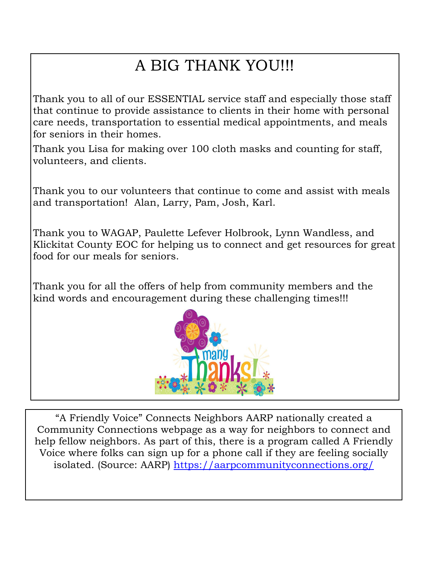## A BIG THANK YOU!!!

Thank you to all of our ESSENTIAL service staff and especially those staff that continue to provide assistance to clients in their home with personal care needs, transportation to essential medical appointments, and meals for seniors in their homes.

Thank you Lisa for making over 100 cloth masks and counting for staff, volunteers, and clients.

Thank you to our volunteers that continue to come and assist with meals and transportation! Alan, Larry, Pam, Josh, Karl.

Thank you to WAGAP, Paulette Lefever Holbrook, Lynn Wandless, and Klickitat County EOC for helping us to connect and get resources for great food for our meals for seniors.

Thank you for all the offers of help from community members and the kind words and encouragement during these challenging times!!!



"A Friendly Voice" Connects Neighbors AARP nationally created a Community Connections webpage as a way for neighbors to connect and help fellow neighbors. As part of this, there is a program called A Friendly Voice where folks can sign up for a phone call if they are feeling socially isolated. (Source: AARP) https://aarpcommunityconnections.org/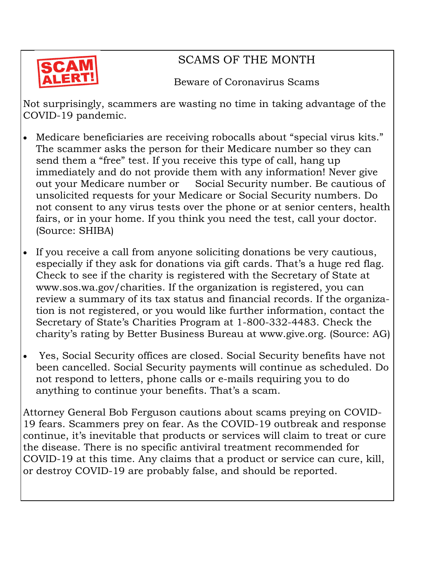

#### SCAMS OF THE MONTH

Beware of Coronavirus Scams

Not surprisingly, scammers are wasting no time in taking advantage of the COVID-19 pandemic.

- Medicare beneficiaries are receiving robocalls about "special virus kits." The scammer asks the person for their Medicare number so they can send them a "free" test. If you receive this type of call, hang up immediately and do not provide them with any information! Never give out your Medicare number or Social Security number. Be cautious of unsolicited requests for your Medicare or Social Security numbers. Do not consent to any virus tests over the phone or at senior centers, health fairs, or in your home. If you think you need the test, call your doctor. (Source: SHIBA)
- If you receive a call from anyone soliciting donations be very cautious, especially if they ask for donations via gift cards. That's a huge red flag. Check to see if the charity is registered with the Secretary of State at www.sos.wa.gov/charities. If the organization is registered, you can review a summary of its tax status and financial records. If the organization is not registered, or you would like further information, contact the Secretary of State's Charities Program at 1-800-332-4483. Check the charity's rating by Better Business Bureau at www.give.org. (Source: AG)
- Yes, Social Security offices are closed. Social Security benefits have not been cancelled. Social Security payments will continue as scheduled. Do not respond to letters, phone calls or e-mails requiring you to do anything to continue your benefits. That's a scam.

Attorney General Bob Ferguson cautions about scams preying on COVID-19 fears. Scammers prey on fear. As the COVID-19 outbreak and response continue, it's inevitable that products or services will claim to treat or cure the disease. There is no specific antiviral treatment recommended for COVID-19 at this time. Any claims that a product or service can cure, kill, or destroy COVID-19 are probably false, and should be reported.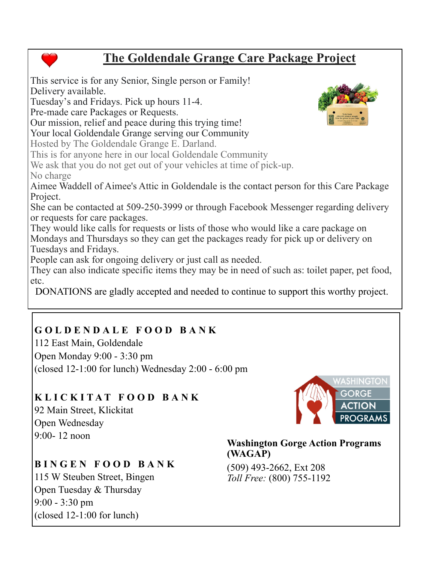#### **The Goldendale Grange Care Package Project**

This service is for any Senior, Single person or Family! Delivery available. Tuesday's and Fridays. Pick up hours 11-4. Pre-made care Packages or Requests. Our mission, relief and peace during this trying time! Your local Goldendale Grange serving our Community Hosted by The Goldendale Grange E. Darland. This is for anyone here in our local Goldendale Community We ask that you do not get out of your vehicles at time of pick-up. No charge Aimee Waddell of Aimee's Attic in Goldendale is the contact person for this Care Package Project. She can be contacted at 509-250-3999 or through Facebook Messenger regarding delivery or requests for care packages. They would like calls for requests or lists of those who would like a care package on Mondays and Thursdays so they can get the packages ready for pick up or delivery on Tuesdays and Fridays. People can ask for ongoing delivery or just call as needed. They can also indicate specific items they may be in need of such as: toilet paper, pet food, DONATIONS are gladly accepted and needed to continue to support this worthy project.

#### **GOLDENDALE FOOD BANK**

112 East Main, Goldendale Open Monday 9:00 - 3:30 pm (closed 12-1:00 for lunch) Wednesday 2:00 - 6:00 pm

#### **KLICKITAT FOOD BANK**

92 Main Street, Klickitat Open Wednesday  $9.00 - 12$  noon

#### **BINGEN FOOD BANK**

115 W Steuben Street, Bingen Open Tuesday & Thursday 9:00 - 3:30 pm (closed 12-1:00 for lunch)



#### **Washington Gorge Action Programs (WAGAP)**

(509) 493-2662, Ext 208 *Toll Free:* (800) 755-1192





etc.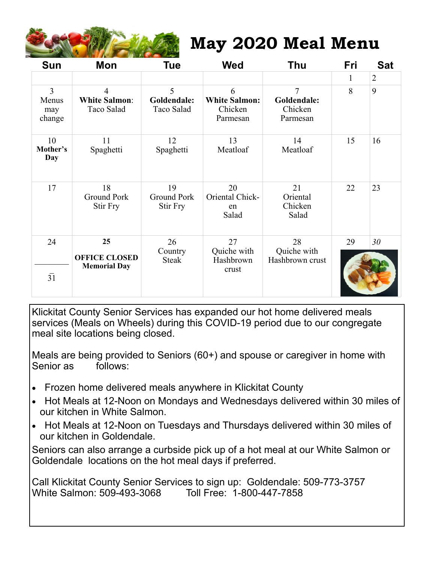

### **May 2020 Meal Menu**

| <b>Sun</b>                               | <b>Mon</b>                              | <b>Tue</b>                           | <b>Wed</b>                                       | <b>Thu</b>                                           | Fri      | <b>Sat</b>     |
|------------------------------------------|-----------------------------------------|--------------------------------------|--------------------------------------------------|------------------------------------------------------|----------|----------------|
|                                          |                                         |                                      |                                                  |                                                      | 1        | $\overline{2}$ |
| $\overline{3}$<br>Menus<br>may<br>change | 4<br><b>White Salmon:</b><br>Taco Salad | 5<br>Goldendale:<br>Taco Salad       | 6<br><b>White Salmon:</b><br>Chicken<br>Parmesan | $\overline{7}$<br>Goldendale:<br>Chicken<br>Parmesan | 8        | 9              |
| 10<br>Mother's<br>Day                    | 11<br>Spaghetti                         | 12<br>Spaghetti                      | 13<br>Meatloaf                                   | 14<br>Meatloaf                                       | 15       | 16             |
| 17                                       | 18<br><b>Ground Pork</b><br>Stir Fry    | 19<br><b>Ground Pork</b><br>Stir Fry | 20<br>Oriental Chick-<br>en<br>Salad             | 21<br>Oriental<br>Chicken<br>Salad                   | 22       | 23             |
| 24                                       | 25<br><b>OFFICE CLOSED</b>              | 26<br>Country<br><b>Steak</b>        | 27<br>Quiche with<br>Hashbrown                   | 28<br>Quiche with<br>Hashbrown crust                 | 29<br>30 |                |
| $\overline{31}$                          | <b>Memorial Day</b>                     |                                      | crust                                            |                                                      |          |                |

Klickitat County Senior Services has expanded our hot home delivered meals services (Meals on Wheels) during this COVID-19 period due to our congregate meal site locations being closed.

Meals are being provided to Seniors (60+) and spouse or caregiver in home with Senior as follows:

- Frozen home delivered meals anywhere in Klickitat County
- Hot Meals at 12-Noon on Mondays and Wednesdays delivered within 30 miles of our kitchen in White Salmon.
- Hot Meals at 12-Noon on Tuesdays and Thursdays delivered within 30 miles of our kitchen in Goldendale.

Seniors can also arrange a curbside pick up of a hot meal at our White Salmon or Goldendale locations on the hot meal days if preferred.

Call Klickitat County Senior Services to sign up: Goldendale: 509-773-3757 White Salmon: 509-493-3068 Toll Free: 1-800-447-7858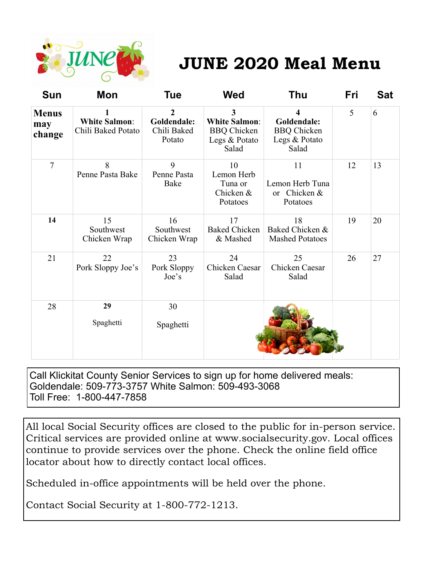

## **JUNE 2020 Meal Menu**

| <b>Sun</b>                    | Mon                                        | <b>Tue</b>                                             | <b>Wed</b>                                                                | <b>Thu</b>                                                       | <b>Fri</b> | <b>Sat</b> |
|-------------------------------|--------------------------------------------|--------------------------------------------------------|---------------------------------------------------------------------------|------------------------------------------------------------------|------------|------------|
| <b>Menus</b><br>may<br>change | <b>White Salmon:</b><br>Chili Baked Potato | $\overline{2}$<br>Goldendale:<br>Chili Baked<br>Potato | 3<br><b>White Salmon:</b><br><b>BBQ</b> Chicken<br>Legs & Potato<br>Salad | 4<br>Goldendale:<br><b>BBQ</b> Chicken<br>Legs & Potato<br>Salad | 5          | 6          |
| $\tau$                        | 8<br>Penne Pasta Bake                      | 9<br>Penne Pasta<br>Bake                               | 10<br>Lemon Herb<br>Tuna or<br>Chicken &<br>Potatoes                      | 11<br>Lemon Herb Tuna<br>or Chicken &<br>Potatoes                | 12         | 13         |
| 14                            | 15<br>Southwest<br>Chicken Wrap            | 16<br>Southwest<br>Chicken Wrap                        | 17<br><b>Baked Chicken</b><br>& Mashed                                    | 18<br>Baked Chicken &<br><b>Mashed Potatoes</b>                  | 19         | 20         |
| 21                            | 22<br>Pork Sloppy Joe's                    | 23<br>Pork Sloppy<br>Joe's                             | 24<br>Chicken Caesar<br>Salad                                             | 25<br>Chicken Caesar<br>Salad                                    | 26         | 27         |
| 28                            | 29<br>Spaghetti                            | 30<br>Spaghetti                                        |                                                                           |                                                                  |            |            |

Call Klickitat County Senior Services to sign up for home delivered meals: Goldendale: 509-773-3757 White Salmon: 509-493-3068 Toll Free: 1-800-447-7858

All local Social Security offices are closed to the public for in-person service. Critical services are provided online at www.socialsecurity.gov. Local offices continue to provide services over the phone. Check the online field office locator about how to directly contact local offices.

Scheduled in-office appointments will be held over the phone.

Contact Social Security at 1-800-772-1213.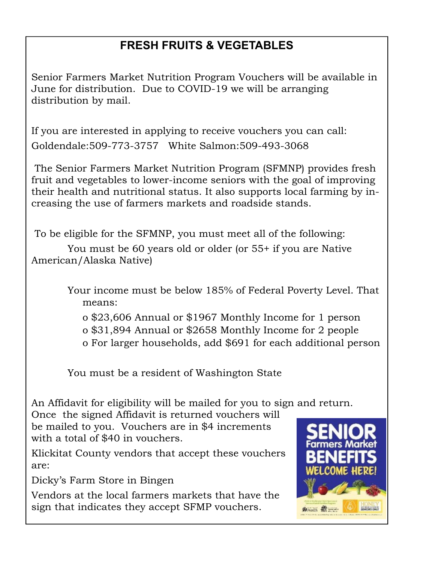#### **FRESH FRUITS & VEGETABLES**

Senior Farmers Market Nutrition Program Vouchers will be available in June for distribution. Due to COVID-19 we will be arranging distribution by mail.

If you are interested in applying to receive vouchers you can call: Goldendale:509-773-3757 White Salmon:509-493-3068

 The Senior Farmers Market Nutrition Program (SFMNP) provides fresh fruit and vegetables to lower-income seniors with the goal of improving their health and nutritional status. It also supports local farming by increasing the use of farmers markets and roadside stands.

To be eligible for the SFMNP, you must meet all of the following:

 You must be 60 years old or older (or 55+ if you are Native American/Alaska Native)

> Your income must be below 185% of Federal Poverty Level. That means:

 o \$23,606 Annual or \$1967 Monthly Income for 1 person o \$31,894 Annual or \$2658 Monthly Income for 2 people o For larger households, add \$691 for each additional person

You must be a resident of Washington State

An Affidavit for eligibility will be mailed for you to sign and return.

Once the signed Affidavit is returned vouchers will be mailed to you. Vouchers are in \$4 increments with a total of \$40 in vouchers.

Klickitat County vendors that accept these vouchers are:

Dicky's Farm Store in Bingen

Vendors at the local farmers markets that have the sign that indicates they accept SFMP vouchers.